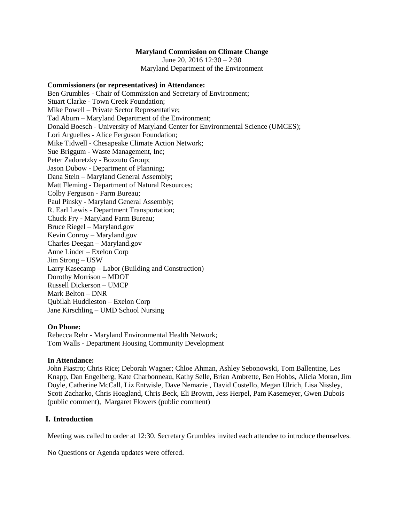#### **Maryland Commission on Climate Change**

June 20, 2016 12:30 – 2:30 Maryland Department of the Environment

#### **Commissioners (or representatives) in Attendance:**

Ben Grumbles - Chair of Commission and Secretary of Environment; Stuart Clarke - Town Creek Foundation; Mike Powell – Private Sector Representative; Tad Aburn – Maryland Department of the Environment; Donald Boesch - University of Maryland Center for Environmental Science (UMCES); Lori Arguelles - Alice Ferguson Foundation; Mike Tidwell - Chesapeake Climate Action Network; Sue Briggum - Waste Management, Inc; Peter Zadoretzky - Bozzuto Group; Jason Dubow - Department of Planning; Dana Stein – Maryland General Assembly; Matt Fleming - Department of Natural Resources; Colby Ferguson - Farm Bureau; Paul Pinsky - Maryland General Assembly; R. Earl Lewis - Department Transportation; Chuck Fry - Maryland Farm Bureau; Bruce Riegel – Maryland.gov Kevin Conroy – Maryland.gov Charles Deegan – Maryland.gov Anne Linder – Exelon Corp Jim Strong – USW Larry Kasecamp – Labor (Building and Construction) Dorothy Morrison – MDOT Russell Dickerson – UMCP Mark Belton – DNR Qubilah Huddleston – Exelon Corp Jane Kirschling – UMD School Nursing

#### **On Phone:**

Rebecca Rehr - Maryland Environmental Health Network; Tom Walls - Department Housing Community Development

#### **In Attendance:**

John Fiastro; Chris Rice; Deborah Wagner; Chloe Ahman, Ashley Sebonowski, Tom Ballentine, Les Knapp, Dan Engelberg, Kate Charbonneau, Kathy Selle, Brian Ambrette, Ben Hobbs, Alicia Moran, Jim Doyle, Catherine McCall, Liz Entwisle, Dave Nemazie , David Costello, Megan Ulrich, Lisa Nissley, Scott Zacharko, Chris Hoagland, Chris Beck, Eli Browm, Jess Herpel, Pam Kasemeyer, Gwen Dubois (public comment), Margaret Flowers (public comment)

#### **I. Introduction**

Meeting was called to order at 12:30. Secretary Grumbles invited each attendee to introduce themselves.

No Questions or Agenda updates were offered.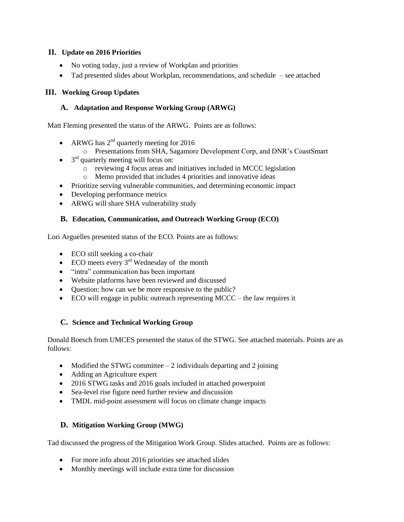## **II. Update on 2016 Priorities**

- No voting today, just a review of Workplan and priorities
- Tad presented slides about Workplan, recommendations, and schedule see attached

## **III. Working Group Updates**

## **A. Adaptation and Response Working Group (ARWG)**

Matt Fleming presented the status of the ARWG. Points are as follows:

- ARWG has  $2^{nd}$  quarterly meeting for 2016
	- o Presentations from SHA, Sagamore Development Corp, and DNR's CoastSmart
- $\bullet$  3<sup>rd</sup> quarterly meeting will focus on:
	- o reviewing 4 focus areas and initiatives included in MCCC legislation
	- o Memo provided that includes 4 priorities and innovative ideas
- Prioritize serving vulnerable communities, and determining economic impact
- Developing performance metrics
- ARWG will share SHA vulnerability study

## **B. Education, Communication, and Outreach Working Group (ECO)**

Lori Arguelles presented status of the ECO. Points are as follows:

- ECO still seeking a co-chair
- ECO meets every  $3<sup>rd</sup>$  Wednesday of the month
- "intra" communication has been important
- Website platforms have been reviewed and discussed
- Question: how can we be more responsive to the public?
- ECO will engage in public outreach representing MCCC the law requires it

# **C. Science and Technical Working Group**

Donald Boesch from UMCES presented the status of the STWG. See attached materials. Points are as follows:

- Modified the STWG committee  $-2$  individuals departing and 2 joining
- Adding an Agriculture expert
- 2016 STWG tasks and 2016 goals included in attached powerpoint
- Sea-level rise figure need further review and discussion
- TMDL mid-point assessment will focus on climate change impacts

# **D. Mitigation Working Group (MWG)**

Tad discussed the progress of the Mitigation Work Group. Slides attached. Points are as follows:

- For more info about 2016 priorities see attached slides
- Monthly meetings will include extra time for discussion